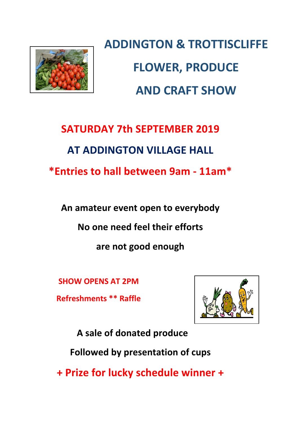

**ADDINGTON & TROTTISCLIFFE FLOWER, PRODUCE AND CRAFT SHOW**

# **SATURDAY 7th SEPTEMBER 2019 AT ADDINGTON VILLAGE HALL \*Entries to hall between 9am - 11am\***

An amateur event open to everybody

**No one need feel their efforts** 

are not good enough

**SHOW OPENS AT 2PM**

**Refreshments \*\* Raffle**



**A sale of donated produce**

**Followed by presentation of cups** 

**+ Prize for lucky schedule winner +**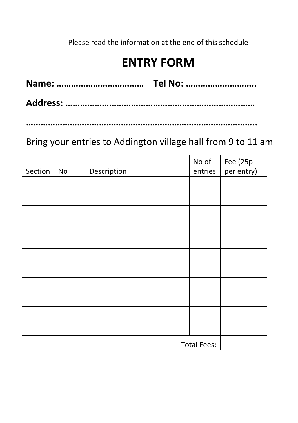### Please read the information at the end of this schedule

## **ENTRY FORM**

**…………………………………………………………………………………..**

### Bring your entries to Addington village hall from 9 to 11 am

| Section            | No | Description | No of<br>entries | Fee (25p<br>per entry) |
|--------------------|----|-------------|------------------|------------------------|
|                    |    |             |                  |                        |
|                    |    |             |                  |                        |
|                    |    |             |                  |                        |
|                    |    |             |                  |                        |
|                    |    |             |                  |                        |
|                    |    |             |                  |                        |
|                    |    |             |                  |                        |
|                    |    |             |                  |                        |
|                    |    |             |                  |                        |
|                    |    |             |                  |                        |
|                    |    |             |                  |                        |
| <b>Total Fees:</b> |    |             |                  |                        |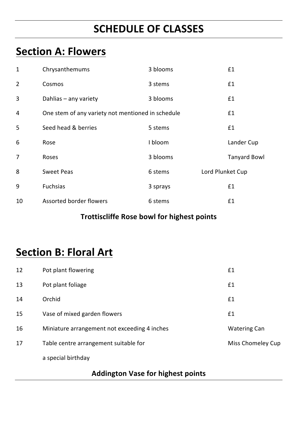## **SCHEDULE OF CLASSES**

## **Section A: Flowers**

| $\mathbf{1}$   | Chrysanthemums                                    | 3 blooms |                  | £1                  |
|----------------|---------------------------------------------------|----------|------------------|---------------------|
| 2              | Cosmos                                            | 3 stems  |                  | £1                  |
| 3              | Dahlias - any variety                             | 3 blooms |                  | £1                  |
| 4              | One stem of any variety not mentioned in schedule |          |                  | £1                  |
| 5              | Seed head & berries                               | 5 stems  |                  | £1                  |
| 6              | Rose                                              | I bloom  |                  | Lander Cup          |
| $\overline{7}$ | Roses                                             | 3 blooms |                  | <b>Tanyard Bowl</b> |
| 8              | Sweet Peas                                        | 6 stems  | Lord Plunket Cup |                     |
| 9              | <b>Fuchsias</b>                                   | 3 sprays |                  | £1                  |
| 10             | Assorted border flowers                           | 6 stems  |                  | £1                  |

#### **Trottiscliffe Rose bowl for highest points**

### **Section B: Floral Art**

| 12 | Pot plant flowering                          | £1                  |
|----|----------------------------------------------|---------------------|
| 13 | Pot plant foliage                            | £1                  |
| 14 | Orchid                                       | £1                  |
| 15 | Vase of mixed garden flowers                 | £1                  |
| 16 | Miniature arrangement not exceeding 4 inches | <b>Watering Can</b> |
| 17 | Table centre arrangement suitable for        | Miss Chomeley Cup   |
|    | a special birthday                           |                     |

#### **Addington Vase for highest points**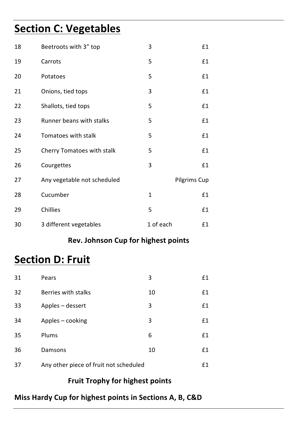## **Section C: Vegetables**

| 18 | Beetroots with 3" top       | 3            | £1           |
|----|-----------------------------|--------------|--------------|
| 19 | Carrots                     | 5            | £1           |
| 20 | Potatoes                    | 5            | £1           |
| 21 | Onions, tied tops           | 3            | £1           |
| 22 | Shallots, tied tops         | 5            | £1           |
| 23 | Runner beans with stalks    | 5            | £1           |
| 24 | Tomatoes with stalk         | 5            | £1           |
| 25 | Cherry Tomatoes with stalk  | 5            | £1           |
| 26 | Courgettes                  | 3            | £1           |
| 27 | Any vegetable not scheduled |              | Pilgrims Cup |
| 28 | Cucumber                    | $\mathbf{1}$ | £1           |
| 29 | Chillies                    | 5            | £1           |
| 30 | 3 different vegetables      | 1 of each    | £1           |

#### **Rev. Johnson Cup for highest points**

### **Section D: Fruit**

| 31 | Pears                                  | 3  | £1 |
|----|----------------------------------------|----|----|
| 32 | Berries with stalks                    | 10 | £1 |
| 33 | Apples – dessert                       | 3  | £1 |
| 34 | Apples – cooking                       | 3  | £1 |
| 35 | Plums                                  | 6  | £1 |
| 36 | Damsons                                | 10 | £1 |
| 37 | Any other piece of fruit not scheduled |    | £1 |

#### **Fruit Trophy for highest points**

#### **Miss Hardy Cup for highest points in Sections A, B, C&D**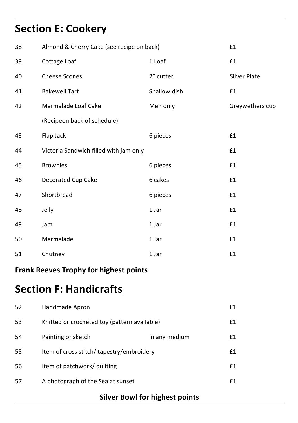## **Section E: Cookery**

| 38 | Almond & Cherry Cake (see recipe on back) |              | £1              |
|----|-------------------------------------------|--------------|-----------------|
| 39 | Cottage Loaf                              | 1 Loaf       | £1              |
| 40 | <b>Cheese Scones</b>                      | 2" cutter    | Silver Plate    |
| 41 | <b>Bakewell Tart</b>                      | Shallow dish | £1              |
| 42 | Marmalade Loaf Cake                       | Men only     | Greywethers cup |
|    | (Recipeon back of schedule)               |              |                 |
| 43 | Flap Jack                                 | 6 pieces     | £1              |
| 44 | Victoria Sandwich filled with jam only    |              | £1              |
| 45 | <b>Brownies</b>                           | 6 pieces     | £1              |
| 46 | Decorated Cup Cake                        | 6 cakes      | £1              |
| 47 | Shortbread                                | 6 pieces     | £1              |
| 48 | Jelly                                     | 1 Jar        | £1              |
| 49 | Jam                                       | 1 Jar        | £1              |
| 50 | Marmalade                                 | 1 Jar        | £1              |
| 51 | Chutney                                   | 1 Jar        | £1              |

### **Frank Reeves Trophy for highest points**

### **Section F: Handicrafts**

| 52 | Handmade Apron                               |               | £1 |
|----|----------------------------------------------|---------------|----|
| 53 | Knitted or crocheted toy (pattern available) |               | £1 |
| 54 | Painting or sketch                           | In any medium | £1 |
| 55 | Item of cross stitch/ tapestry/embroidery    |               | £1 |
| 56 | Item of patchwork/ quilting                  |               | £1 |
| 57 | A photograph of the Sea at sunset            |               | f1 |

#### **Silver Bowl for highest points**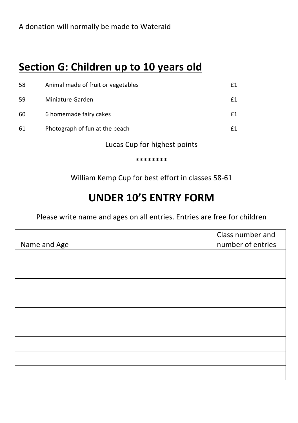## **Section G: Children up to 10 years old**

| 58 | Animal made of fruit or vegetables |    |
|----|------------------------------------|----|
| 59 | Miniature Garden                   | £1 |
| 60 | 6 homemade fairy cakes             |    |
| 61 | Photograph of fun at the beach     |    |

Lucas Cup for highest points

#### \*\*\*\*\*\*\*\*

William Kemp Cup for best effort in classes 58-61

### **UNDER 10'S ENTRY FORM**

Please write name and ages on all entries. Entries are free for children

| Name and Age | Class number and<br>number of entries |
|--------------|---------------------------------------|
|              |                                       |
|              |                                       |
|              |                                       |
|              |                                       |
|              |                                       |
|              |                                       |
|              |                                       |
|              |                                       |
|              |                                       |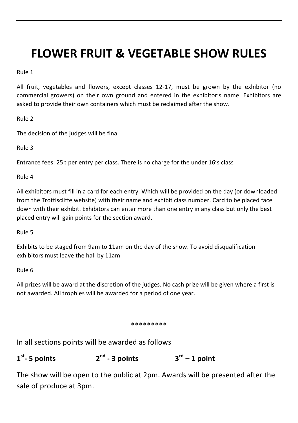## **FLOWER FRUIT & VEGETABLE SHOW RULES**

Rule 1

All fruit, vegetables and flowers, except classes  $12-17$ , must be grown by the exhibitor (no commercial growers) on their own ground and entered in the exhibitor's name. Exhibitors are asked to provide their own containers which must be reclaimed after the show.

Rule<sub>2</sub>

The decision of the judges will be final

Rule 3

Entrance fees: 25p per entry per class. There is no charge for the under 16's class

Rule 4

All exhibitors must fill in a card for each entry. Which will be provided on the day (or downloaded from the Trottiscliffe website) with their name and exhibit class number. Card to be placed face down with their exhibit. Exhibitors can enter more than one entry in any class but only the best placed entry will gain points for the section award.

Rule 5

Exhibits to be staged from 9am to 11am on the day of the show. To avoid disqualification exhibitors must leave the hall by 11am

Rule 6

All prizes will be award at the discretion of the judges. No cash prize will be given where a first is not awarded. All trophies will be awarded for a period of one year.

#### \*\*\*\*\*\*\*\*

In all sections points will be awarded as follows



The show will be open to the public at 2pm. Awards will be presented after the sale of produce at 3pm.